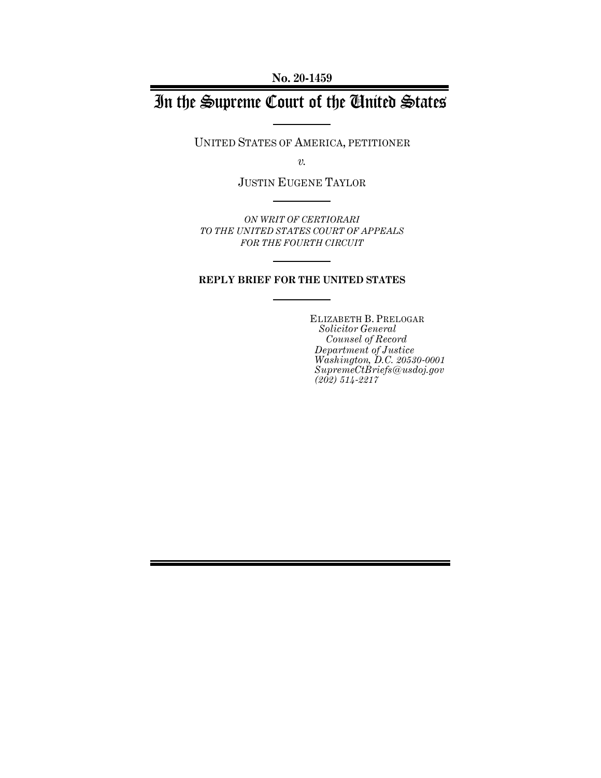**No. 20-1459**

# In the Supreme Court of the United States

UNITED STATES OF AMERICA, PETITIONER

*v.*

JUSTIN EUGENE TAYLOR

*ON WRIT OF CERTIORARI TO THE UNITED STATES COURT OF APPEALS FOR THE FOURTH CIRCUIT*

#### **REPLY BRIEF FOR THE UNITED STATES**

ELIZABETH B. PRELOGAR *Solicitor General Counsel of Record Department of Justice Washington, D.C. 20530-0001 SupremeCtBriefs@usdoj.gov (202) 514-2217*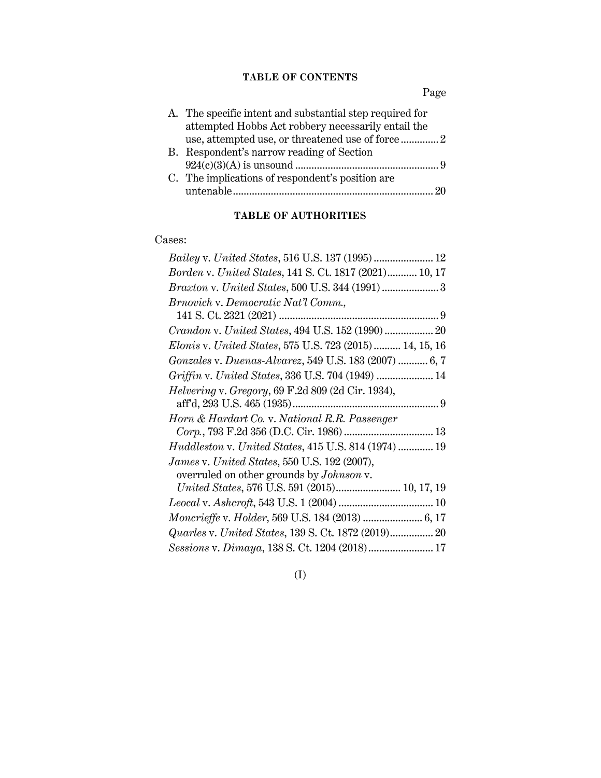## **TABLE OF CONTENTS**

Page

| A. The specific intent and substantial step required for |    |
|----------------------------------------------------------|----|
| attempted Hobbs Act robbery necessarily entail the       |    |
|                                                          |    |
| B. Respondent's narrow reading of Section                |    |
|                                                          |    |
| C. The implications of respondent's position are         |    |
|                                                          | 20 |
|                                                          |    |

## **TABLE OF AUTHORITIES**

#### Cases:

| Borden v. United States, 141 S. Ct. 1817 (2021) 10, 17   |
|----------------------------------------------------------|
| Braxton v. United States, 500 U.S. 344 (1991) 3          |
| Brnovich v. Democratic Nat'l Comm.,                      |
|                                                          |
| Crandon v. United States, 494 U.S. 152 (1990)  20        |
| Elonis v. United States, 575 U.S. 723 (2015) 14, 15, 16  |
| Gonzales v. Duenas-Alvarez, 549 U.S. 183 (2007)  6, 7    |
| Griffin v. United States, 336 U.S. 704 (1949)  14        |
| <i>Helvering v. Gregory, 69 F.2d 809 (2d Cir. 1934),</i> |
|                                                          |
| Horn & Hardart Co. v. National R.R. Passenger            |
| Corp., 793 F.2d 356 (D.C. Cir. 1986)  13                 |
| Huddleston v. United States, 415 U.S. 814 (1974)  19     |
| James v. United States, 550 U.S. 192 (2007),             |
| overruled on other grounds by <i>Johnson</i> v.          |
| United States, 576 U.S. 591 (2015) 10, 17, 19            |
|                                                          |
| Moncrieffe v. Holder, 569 U.S. 184 (2013)  6, 17         |
|                                                          |
| Sessions v. Dimaya, 138 S. Ct. 1204 (2018) 17            |

# (I)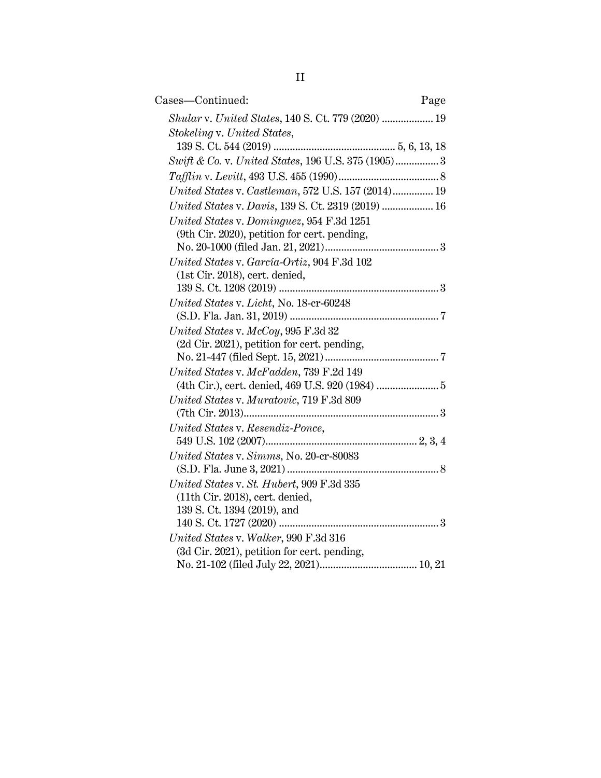| Cases-Continued:                                    | Page |
|-----------------------------------------------------|------|
| Shular v. United States, 140 S. Ct. 779 (2020)  19  |      |
| Stokeling v. United States,                         |      |
|                                                     |      |
| Swift & Co. v. United States, 196 U.S. 375 (1905) 3 |      |
|                                                     |      |
| United States v. Castleman, 572 U.S. 157 (2014) 19  |      |
| United States v. Davis, 139 S. Ct. 2319 (2019)  16  |      |
| United States v. Dominguez, 954 F.3d 1251           |      |
| (9th Cir. 2020), petition for cert. pending,        |      |
|                                                     |      |
| United States v. García-Ortiz, 904 F.3d 102         |      |
| (1st Cir. 2018), cert. denied,                      |      |
|                                                     |      |
| United States v. Licht, No. 18-cr-60248             |      |
|                                                     |      |
| $United\ States$ v. $McCoy$ , 995 $F.3d$ 32         |      |
| (2d Cir. 2021), petition for cert. pending,         |      |
| United States v. McFadden, 739 F.2d 149             |      |
|                                                     |      |
| United States v. Muratovic, 719 F.3d 809            |      |
|                                                     |      |
| United States v. Resendiz-Ponce,                    |      |
|                                                     |      |
| United States v. Simms, No. 20-cr-80083             |      |
|                                                     |      |
| United States v. St. Hubert, 909 F.3d 335           |      |
| (11th Cir. 2018), cert. denied,                     |      |
| 139 S. Ct. 1394 (2019), and                         |      |
| 140 S. Ct. 1727 (2020)                              |      |
| United States v. Walker, 990 F.3d 316               |      |
| (3d Cir. 2021), petition for cert. pending,         |      |
|                                                     |      |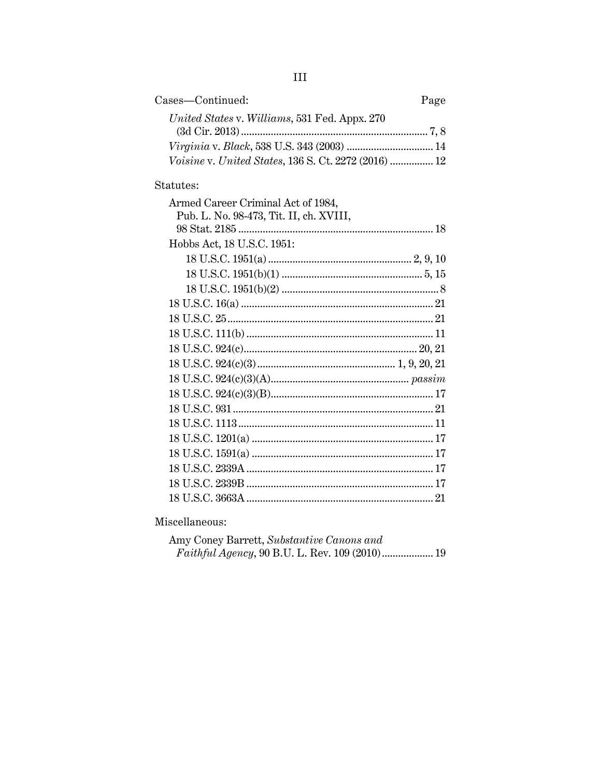| Cases—Continued:                                     | Page |
|------------------------------------------------------|------|
| United States v. Williams, 531 Fed. Appx. 270        |      |
|                                                      |      |
| Voisine v. United States, 136 S. Ct. 2272 (2016)  12 |      |

#### Statutes:

Miscellaneous:

| Amy Coney Barrett, Substantive Canons and |  |
|-------------------------------------------|--|
|                                           |  |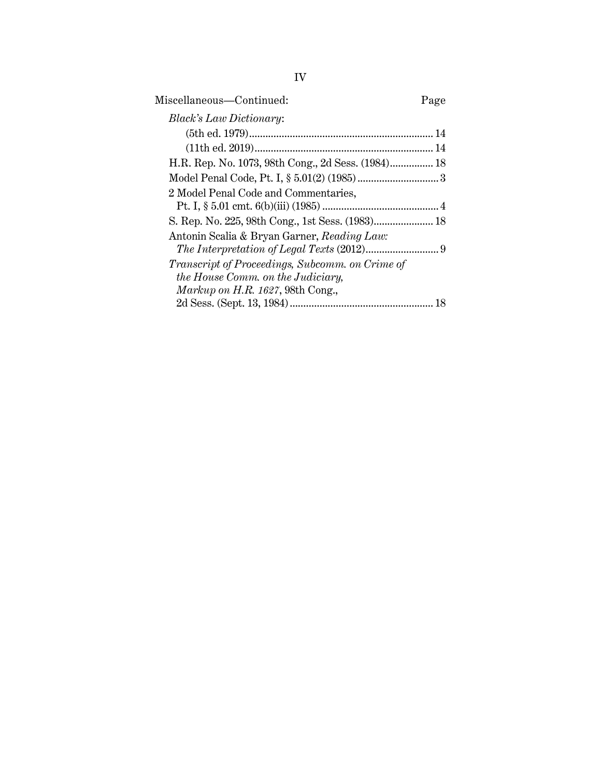| Miscellaneous-Continued:                           |  |
|----------------------------------------------------|--|
| <i>Black's Law Dictionary:</i>                     |  |
|                                                    |  |
|                                                    |  |
| H.R. Rep. No. 1073, 98th Cong., 2d Sess. (1984) 18 |  |
|                                                    |  |
| 2 Model Penal Code and Commentaries,               |  |
|                                                    |  |
|                                                    |  |
| Antonin Scalia & Bryan Garner, Reading Law:        |  |
|                                                    |  |
| Transcript of Proceedings, Subcomm. on Crime of    |  |
| the House Comm. on the Judiciary,                  |  |
| Markup on H.R. 1627, 98th Cong.,                   |  |
|                                                    |  |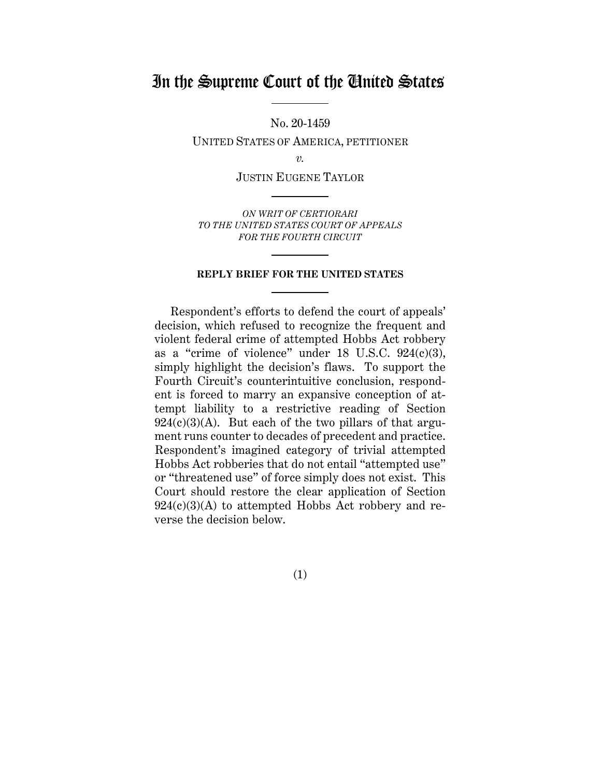# In the Supreme Court of the United States

No. 20-1459

UNITED STATES OF AMERICA, PETITIONER

*v.*

JUSTIN EUGENE TAYLOR

*ON WRIT OF CERTIORARI TO THE UNITED STATES COURT OF APPEALS FOR THE FOURTH CIRCUIT*

#### **REPLY BRIEF FOR THE UNITED STATES**

Respondent's efforts to defend the court of appeals' decision, which refused to recognize the frequent and violent federal crime of attempted Hobbs Act robbery as a "crime of violence" under 18 U.S.C. 924(c)(3), simply highlight the decision's flaws. To support the Fourth Circuit's counterintuitive conclusion, respondent is forced to marry an expansive conception of attempt liability to a restrictive reading of Section  $924(c)(3)(A)$ . But each of the two pillars of that argument runs counter to decades of precedent and practice. Respondent's imagined category of trivial attempted Hobbs Act robberies that do not entail "attempted use" or "threatened use" of force simply does not exist. This Court should restore the clear application of Section  $924(c)(3)(A)$  to attempted Hobbs Act robbery and reverse the decision below.

(1)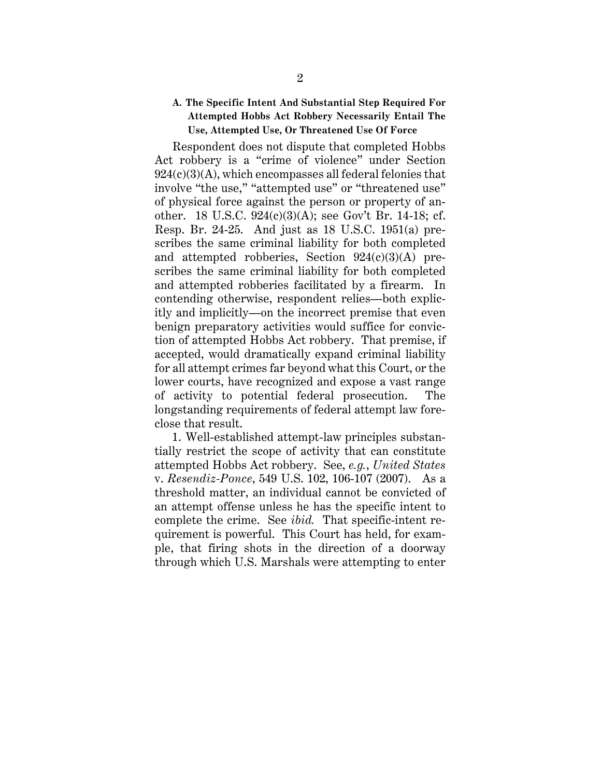#### **A. The Specific Intent And Substantial Step Required For Attempted Hobbs Act Robbery Necessarily Entail The Use, Attempted Use, Or Threatened Use Of Force**

Respondent does not dispute that completed Hobbs Act robbery is a "crime of violence" under Section 924(c)(3)(A), which encompasses all federal felonies that involve "the use," "attempted use" or "threatened use" of physical force against the person or property of another. 18 U.S.C. 924(c)(3)(A); see Gov't Br. 14-18; cf. Resp. Br. 24-25. And just as 18 U.S.C. 1951(a) prescribes the same criminal liability for both completed and attempted robberies, Section  $924(c)(3)(A)$  prescribes the same criminal liability for both completed and attempted robberies facilitated by a firearm. In contending otherwise, respondent relies—both explicitly and implicitly—on the incorrect premise that even benign preparatory activities would suffice for conviction of attempted Hobbs Act robbery. That premise, if accepted, would dramatically expand criminal liability for all attempt crimes far beyond what this Court, or the lower courts, have recognized and expose a vast range of activity to potential federal prosecution. The longstanding requirements of federal attempt law foreclose that result.

1. Well-established attempt-law principles substantially restrict the scope of activity that can constitute attempted Hobbs Act robbery. See, *e.g.*, *United States* v. *Resendiz-Ponce*, 549 U.S. 102, 106-107 (2007). As a threshold matter, an individual cannot be convicted of an attempt offense unless he has the specific intent to complete the crime. See *ibid.* That specific-intent requirement is powerful. This Court has held, for example, that firing shots in the direction of a doorway through which U.S. Marshals were attempting to enter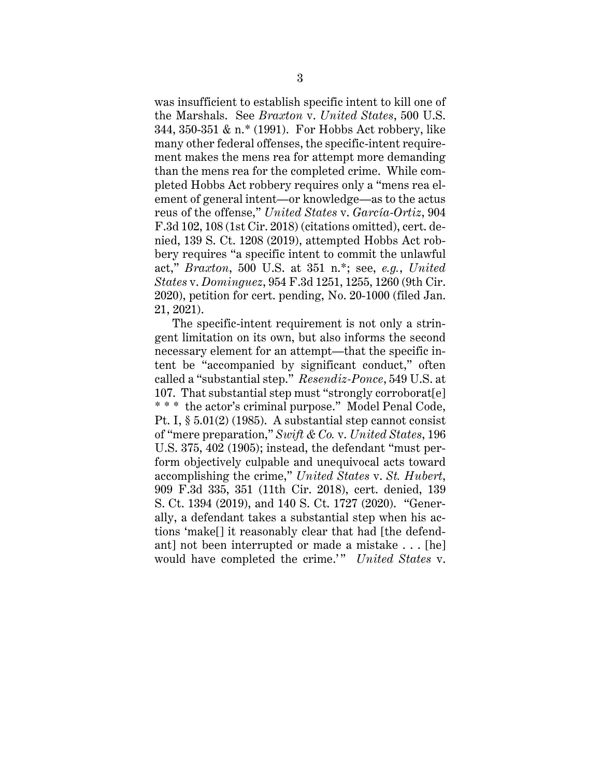was insufficient to establish specific intent to kill one of the Marshals. See *Braxton* v. *United States*, 500 U.S. 344, 350-351 & n.\* (1991). For Hobbs Act robbery, like many other federal offenses, the specific-intent requirement makes the mens rea for attempt more demanding than the mens rea for the completed crime. While completed Hobbs Act robbery requires only a "mens rea element of general intent—or knowledge—as to the actus reus of the offense," *United States* v. *García-Ortiz*, 904 F.3d 102, 108 (1st Cir. 2018) (citations omitted), cert. denied, 139 S. Ct. 1208 (2019), attempted Hobbs Act robbery requires "a specific intent to commit the unlawful act," *Braxton*, 500 U.S. at 351 n.\*; see, *e.g.*, *United States* v. *Dominguez*, 954 F.3d 1251, 1255, 1260 (9th Cir. 2020), petition for cert. pending, No. 20-1000 (filed Jan. 21, 2021).

The specific-intent requirement is not only a stringent limitation on its own, but also informs the second necessary element for an attempt—that the specific intent be "accompanied by significant conduct," often called a "substantial step." *Resendiz-Ponce*, 549 U.S. at 107. That substantial step must "strongly corroborat[e] \* \* \* the actor's criminal purpose." Model Penal Code, Pt. I, § 5.01(2) (1985). A substantial step cannot consist of "mere preparation," *Swift & Co.* v. *United States*, 196 U.S. 375, 402 (1905); instead, the defendant "must perform objectively culpable and unequivocal acts toward accomplishing the crime," *United States* v. *St. Hubert*, 909 F.3d 335, 351 (11th Cir. 2018), cert. denied, 139 S. Ct. 1394 (2019), and 140 S. Ct. 1727 (2020). "Generally, a defendant takes a substantial step when his actions 'make[] it reasonably clear that had [the defendant] not been interrupted or made a mistake . . . [he] would have completed the crime.'" United States v.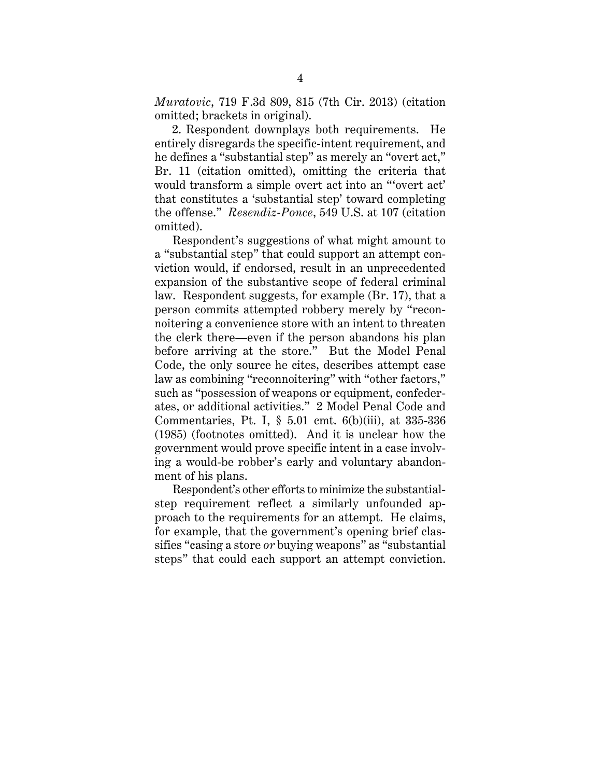*Muratovic*, 719 F.3d 809, 815 (7th Cir. 2013) (citation omitted; brackets in original).

2. Respondent downplays both requirements. He entirely disregards the specific-intent requirement, and he defines a "substantial step" as merely an "overt act," Br. 11 (citation omitted), omitting the criteria that would transform a simple overt act into an "'overt act' that constitutes a 'substantial step' toward completing the offense." *Resendiz-Ponce*, 549 U.S. at 107 (citation omitted).

Respondent's suggestions of what might amount to a "substantial step" that could support an attempt conviction would, if endorsed, result in an unprecedented expansion of the substantive scope of federal criminal law. Respondent suggests, for example (Br. 17), that a person commits attempted robbery merely by "reconnoitering a convenience store with an intent to threaten the clerk there—even if the person abandons his plan before arriving at the store." But the Model Penal Code, the only source he cites, describes attempt case law as combining "reconnoitering" with "other factors," such as "possession of weapons or equipment, confederates, or additional activities." 2 Model Penal Code and Commentaries, Pt. I, § 5.01 cmt. 6(b)(iii), at 335-336 (1985) (footnotes omitted). And it is unclear how the government would prove specific intent in a case involving a would-be robber's early and voluntary abandonment of his plans.

Respondent's other efforts to minimize the substantialstep requirement reflect a similarly unfounded approach to the requirements for an attempt. He claims, for example, that the government's opening brief classifies "casing a store *or* buying weapons" as "substantial steps" that could each support an attempt conviction.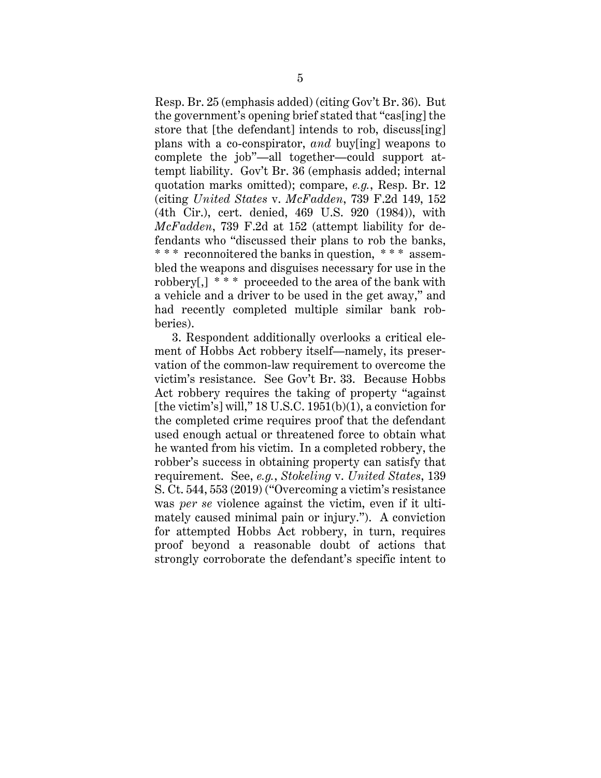Resp. Br. 25 (emphasis added) (citing Gov't Br. 36). But the government's opening brief stated that "cas[ing] the store that [the defendant] intends to rob, discuss[ing] plans with a co-conspirator, *and* buy[ing] weapons to complete the job"—all together—could support attempt liability. Gov't Br. 36 (emphasis added; internal quotation marks omitted); compare, *e.g.*, Resp. Br. 12 (citing *United States* v. *McFadden*, 739 F.2d 149, 152 (4th Cir.), cert. denied, 469 U.S. 920 (1984)), with *McFadden*, 739 F.2d at 152 (attempt liability for defendants who "discussed their plans to rob the banks, \* \* \* reconnoitered the banks in question, \* \* \* assembled the weapons and disguises necessary for use in the robbery[,] \* \* \* proceeded to the area of the bank with a vehicle and a driver to be used in the get away," and had recently completed multiple similar bank robberies).

3. Respondent additionally overlooks a critical element of Hobbs Act robbery itself—namely, its preservation of the common-law requirement to overcome the victim's resistance. See Gov't Br. 33. Because Hobbs Act robbery requires the taking of property "against [the victim's] will,"  $18$  U.S.C.  $1951(b)(1)$ , a conviction for the completed crime requires proof that the defendant used enough actual or threatened force to obtain what he wanted from his victim. In a completed robbery, the robber's success in obtaining property can satisfy that requirement. See, *e.g.*, *Stokeling* v. *United States*, 139 S. Ct. 544, 553 (2019) ("Overcoming a victim's resistance was *per se* violence against the victim, even if it ultimately caused minimal pain or injury."). A conviction for attempted Hobbs Act robbery, in turn, requires proof beyond a reasonable doubt of actions that strongly corroborate the defendant's specific intent to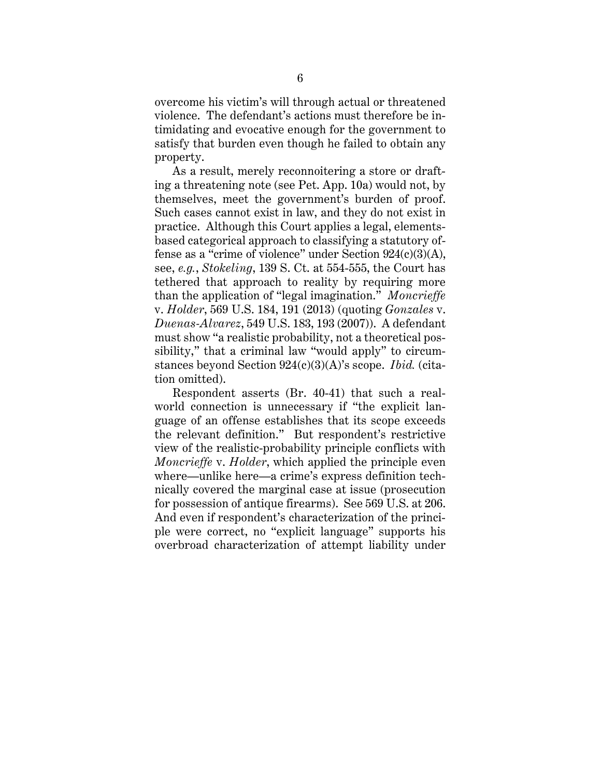overcome his victim's will through actual or threatened violence. The defendant's actions must therefore be intimidating and evocative enough for the government to satisfy that burden even though he failed to obtain any property.

As a result, merely reconnoitering a store or drafting a threatening note (see Pet. App. 10a) would not, by themselves, meet the government's burden of proof. Such cases cannot exist in law, and they do not exist in practice. Although this Court applies a legal, elementsbased categorical approach to classifying a statutory offense as a "crime of violence" under Section 924(c)(3)(A), see, *e.g.*, *Stokeling*, 139 S. Ct. at 554-555, the Court has tethered that approach to reality by requiring more than the application of "legal imagination." *Moncrieffe* v. *Holder*, 569 U.S. 184, 191 (2013) (quoting *Gonzales* v. *Duenas-Alvarez*, 549 U.S. 183, 193 (2007)). A defendant must show "a realistic probability, not a theoretical possibility," that a criminal law "would apply" to circumstances beyond Section 924(c)(3)(A)'s scope. *Ibid.* (citation omitted).

Respondent asserts (Br. 40-41) that such a realworld connection is unnecessary if "the explicit language of an offense establishes that its scope exceeds the relevant definition." But respondent's restrictive view of the realistic-probability principle conflicts with *Moncrieffe* v. *Holder*, which applied the principle even where—unlike here—a crime's express definition technically covered the marginal case at issue (prosecution for possession of antique firearms). See 569 U.S. at 206. And even if respondent's characterization of the principle were correct, no "explicit language" supports his overbroad characterization of attempt liability under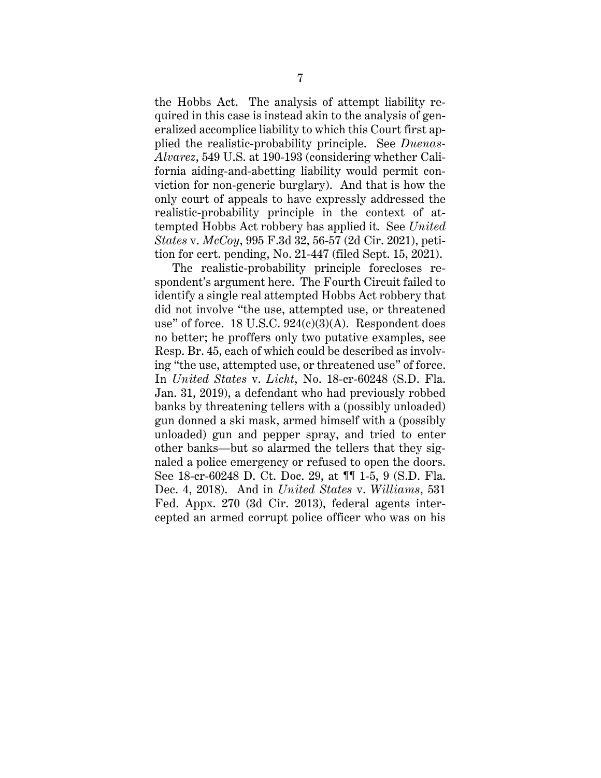the Hobbs Act. The analysis of attempt liability required in this case is instead akin to the analysis of generalized accomplice liability to which this Court first applied the realistic-probability principle. See *Duenas-Alvarez*, 549 U.S. at 190-193 (considering whether California aiding-and-abetting liability would permit conviction for non-generic burglary). And that is how the only court of appeals to have expressly addressed the realistic-probability principle in the context of attempted Hobbs Act robbery has applied it. See *United States* v. *McCoy*, 995 F.3d 32, 56-57 (2d Cir. 2021), petition for cert. pending, No. 21-447 (filed Sept. 15, 2021).

The realistic-probability principle forecloses respondent's argument here. The Fourth Circuit failed to identify a single real attempted Hobbs Act robbery that did not involve "the use, attempted use, or threatened use" of force. 18 U.S.C.  $924(c)(3)(A)$ . Respondent does no better; he proffers only two putative examples, see Resp. Br. 45, each of which could be described as involving "the use, attempted use, or threatened use" of force. In *United States* v. *Licht*, No. 18-cr-60248 (S.D. Fla. Jan. 31, 2019), a defendant who had previously robbed banks by threatening tellers with a (possibly unloaded) gun donned a ski mask, armed himself with a (possibly unloaded) gun and pepper spray, and tried to enter other banks—but so alarmed the tellers that they signaled a police emergency or refused to open the doors. See 18-cr-60248 D. Ct. Doc. 29, at ¶¶ 1-5, 9 (S.D. Fla. Dec. 4, 2018). And in *United States* v. *Williams*, 531 Fed. Appx. 270 (3d Cir. 2013), federal agents intercepted an armed corrupt police officer who was on his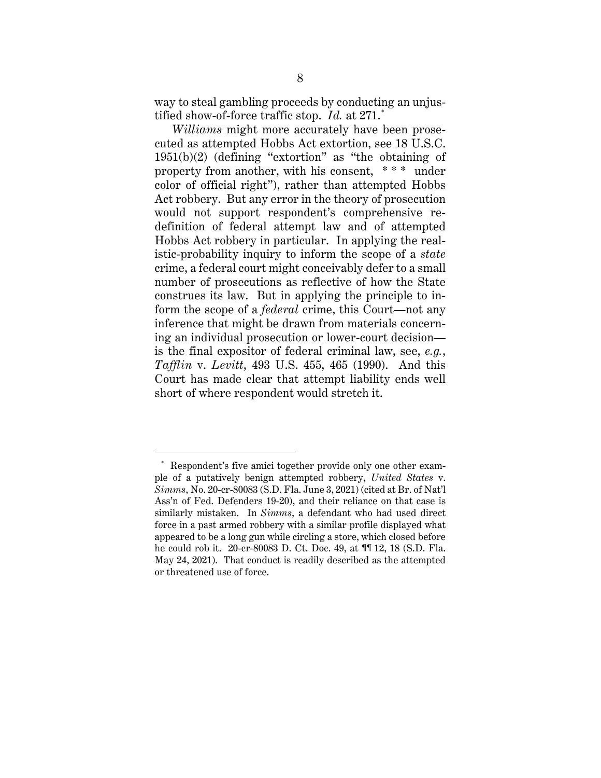way to steal gambling proceeds by conducting an unjustified show-of-force traffic stop. *Id.* at 271. \*

*Williams* might more accurately have been prosecuted as attempted Hobbs Act extortion, see 18 U.S.C. 1951(b)(2) (defining "extortion" as "the obtaining of property from another, with his consent, \* \* \* under color of official right"), rather than attempted Hobbs Act robbery. But any error in the theory of prosecution would not support respondent's comprehensive redefinition of federal attempt law and of attempted Hobbs Act robbery in particular. In applying the realistic-probability inquiry to inform the scope of a *state*  crime, a federal court might conceivably defer to a small number of prosecutions as reflective of how the State construes its law. But in applying the principle to inform the scope of a *federal* crime, this Court—not any inference that might be drawn from materials concerning an individual prosecution or lower-court decision is the final expositor of federal criminal law, see, *e.g.*, *Tafflin* v. *Levitt*, 493 U.S. 455, 465 (1990). And this Court has made clear that attempt liability ends well short of where respondent would stretch it.

<sup>\*</sup> Respondent's five amici together provide only one other example of a putatively benign attempted robbery, *United States* v. *Simms*, No. 20-cr-80083 (S.D. Fla. June 3, 2021) (cited at Br. of Nat'l Ass'n of Fed. Defenders 19-20), and their reliance on that case is similarly mistaken. In *Simms*, a defendant who had used direct force in a past armed robbery with a similar profile displayed what appeared to be a long gun while circling a store, which closed before he could rob it. 20-cr-80083 D. Ct. Doc. 49, at ¶¶ 12, 18 (S.D. Fla. May 24, 2021). That conduct is readily described as the attempted or threatened use of force.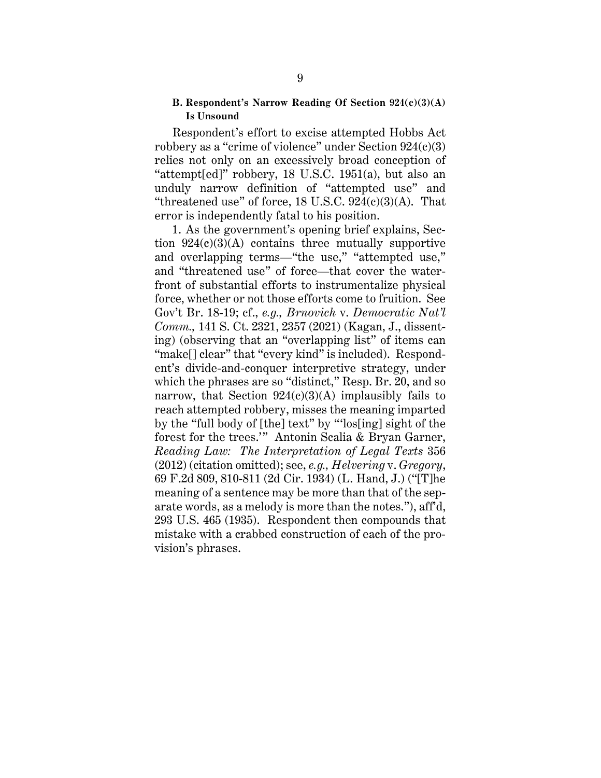#### **B. Respondent's Narrow Reading Of Section 924(c)(3)(A) Is Unsound**

Respondent's effort to excise attempted Hobbs Act robbery as a "crime of violence" under Section 924(c)(3) relies not only on an excessively broad conception of "attempt[ed]" robbery,  $18$  U.S.C.  $1951(a)$ , but also an unduly narrow definition of "attempted use" and "threatened use" of force,  $18$  U.S.C.  $924(c)(3)(A)$ . That error is independently fatal to his position.

1. As the government's opening brief explains, Section  $924(c)(3)(A)$  contains three mutually supportive and overlapping terms—"the use," "attempted use," and "threatened use" of force—that cover the waterfront of substantial efforts to instrumentalize physical force, whether or not those efforts come to fruition. See Gov't Br. 18-19; cf., *e.g., Brnovich* v. *Democratic Nat'l Comm.,* 141 S. Ct. 2321, 2357 (2021) (Kagan, J., dissenting) (observing that an "overlapping list" of items can "make<sup>[]</sup> clear" that "every kind" is included). Respondent's divide-and-conquer interpretive strategy, under which the phrases are so "distinct," Resp. Br. 20, and so narrow, that Section  $924(c)(3)(A)$  implausibly fails to reach attempted robbery, misses the meaning imparted by the "full body of [the] text" by "'los[ing] sight of the forest for the trees.'" Antonin Scalia & Bryan Garner, *Reading Law: The Interpretation of Legal Texts* 356 (2012) (citation omitted); see, *e.g., Helvering* v. *Gregory*, 69 F.2d 809, 810-811 (2d Cir. 1934) (L. Hand, J.) ("[T]he meaning of a sentence may be more than that of the separate words, as a melody is more than the notes."), aff'd, 293 U.S. 465 (1935). Respondent then compounds that mistake with a crabbed construction of each of the provision's phrases.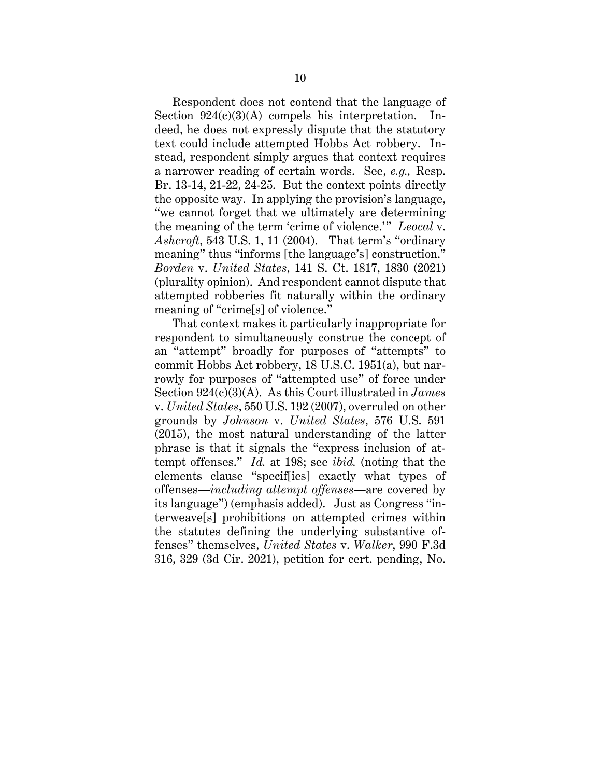Respondent does not contend that the language of Section  $924(c)(3)(A)$  compels his interpretation. Indeed, he does not expressly dispute that the statutory text could include attempted Hobbs Act robbery. Instead, respondent simply argues that context requires a narrower reading of certain words. See, *e.g.,* Resp. Br. 13-14, 21-22, 24-25. But the context points directly the opposite way. In applying the provision's language, "we cannot forget that we ultimately are determining the meaning of the term 'crime of violence.'" *Leocal* v. *Ashcroft*, 543 U.S. 1, 11 (2004). That term's "ordinary meaning" thus "informs [the language's] construction." *Borden* v. *United States*, 141 S. Ct. 1817, 1830 (2021) (plurality opinion). And respondent cannot dispute that attempted robberies fit naturally within the ordinary meaning of "crime[s] of violence."

That context makes it particularly inappropriate for respondent to simultaneously construe the concept of an "attempt" broadly for purposes of "attempts" to commit Hobbs Act robbery, 18 U.S.C. 1951(a), but narrowly for purposes of "attempted use" of force under Section 924(c)(3)(A). As this Court illustrated in *James*  v. *United States*, 550 U.S. 192 (2007), overruled on other grounds by *Johnson* v. *United States*, 576 U.S. 591 (2015), the most natural understanding of the latter phrase is that it signals the "express inclusion of attempt offenses." *Id.* at 198; see *ibid.* (noting that the elements clause "specif[ies] exactly what types of offenses—*including attempt offenses*—are covered by its language") (emphasis added). Just as Congress "interweave[s] prohibitions on attempted crimes within the statutes defining the underlying substantive offenses" themselves, *United States* v. *Walker*, 990 F.3d 316, 329 (3d Cir. 2021), petition for cert. pending, No.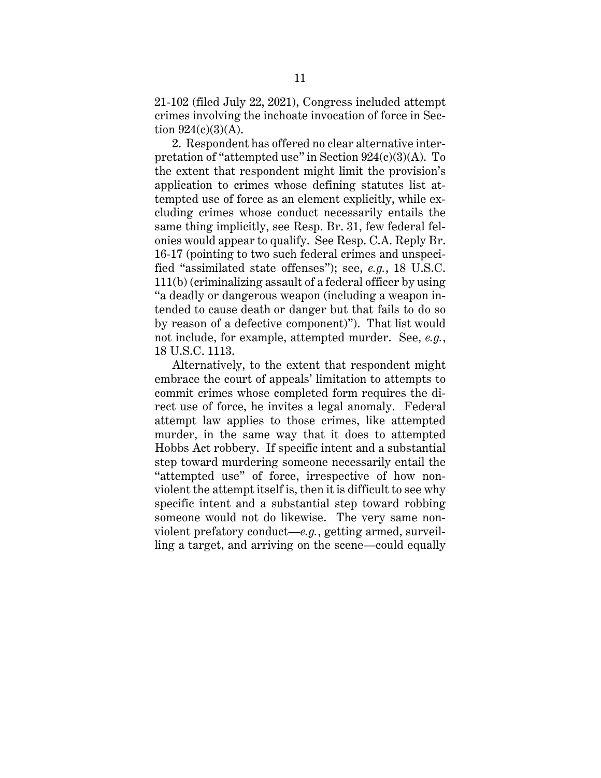21-102 (filed July 22, 2021), Congress included attempt crimes involving the inchoate invocation of force in Section  $924(c)(3)(A)$ .

2. Respondent has offered no clear alternative interpretation of "attempted use" in Section 924(c)(3)(A). To the extent that respondent might limit the provision's application to crimes whose defining statutes list attempted use of force as an element explicitly, while excluding crimes whose conduct necessarily entails the same thing implicitly, see Resp. Br. 31, few federal felonies would appear to qualify. See Resp. C.A. Reply Br. 16-17 (pointing to two such federal crimes and unspecified "assimilated state offenses"); see, *e.g.*, 18 U.S.C. 111(b) (criminalizing assault of a federal officer by using "a deadly or dangerous weapon (including a weapon intended to cause death or danger but that fails to do so by reason of a defective component)"). That list would not include, for example, attempted murder. See, *e.g.*, 18 U.S.C. 1113.

Alternatively, to the extent that respondent might embrace the court of appeals' limitation to attempts to commit crimes whose completed form requires the direct use of force, he invites a legal anomaly. Federal attempt law applies to those crimes, like attempted murder, in the same way that it does to attempted Hobbs Act robbery. If specific intent and a substantial step toward murdering someone necessarily entail the "attempted use" of force, irrespective of how nonviolent the attempt itself is, then it is difficult to see why specific intent and a substantial step toward robbing someone would not do likewise. The very same nonviolent prefatory conduct—*e.g.*, getting armed, surveilling a target, and arriving on the scene—could equally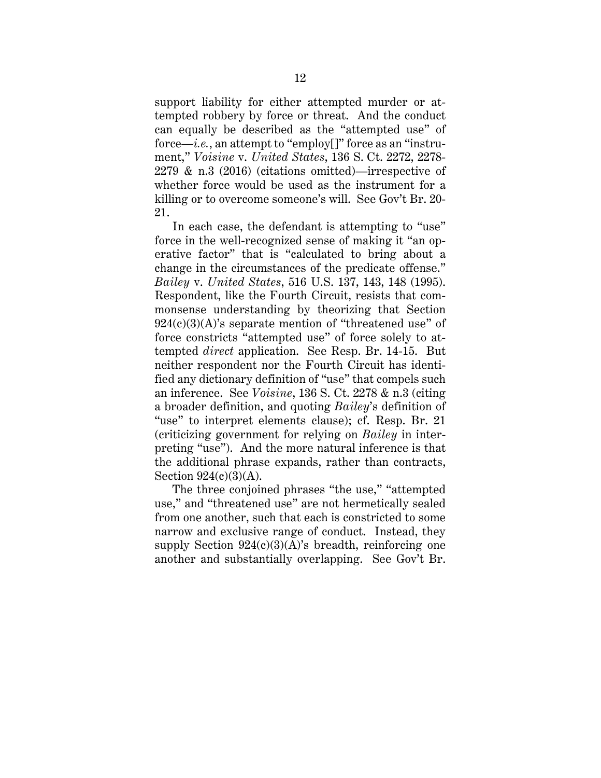support liability for either attempted murder or attempted robbery by force or threat. And the conduct can equally be described as the "attempted use" of force—*i.e.*, an attempt to "employ[]" force as an "instrument," *Voisine* v. *United States*, 136 S. Ct. 2272, 2278- 2279 & n.3 (2016) (citations omitted)—irrespective of whether force would be used as the instrument for a killing or to overcome someone's will. See Gov't Br. 20- 21.

In each case, the defendant is attempting to "use" force in the well-recognized sense of making it "an operative factor" that is "calculated to bring about a change in the circumstances of the predicate offense." *Bailey* v. *United States*, 516 U.S. 137, 143, 148 (1995). Respondent, like the Fourth Circuit, resists that commonsense understanding by theorizing that Section  $924(c)(3)(A)$ 's separate mention of "threatened use" of force constricts "attempted use" of force solely to attempted *direct* application. See Resp. Br. 14-15. But neither respondent nor the Fourth Circuit has identified any dictionary definition of "use" that compels such an inference. See *Voisine*, 136 S. Ct. 2278 & n.3 (citing a broader definition, and quoting *Bailey*'s definition of "use" to interpret elements clause); cf. Resp. Br. 21 (criticizing government for relying on *Bailey* in interpreting "use"). And the more natural inference is that the additional phrase expands, rather than contracts, Section 924(c)(3)(A).

The three conjoined phrases "the use," "attempted use," and "threatened use" are not hermetically sealed from one another, such that each is constricted to some narrow and exclusive range of conduct. Instead, they supply Section  $924(c)(3)(A)$ 's breadth, reinforcing one another and substantially overlapping. See Gov't Br.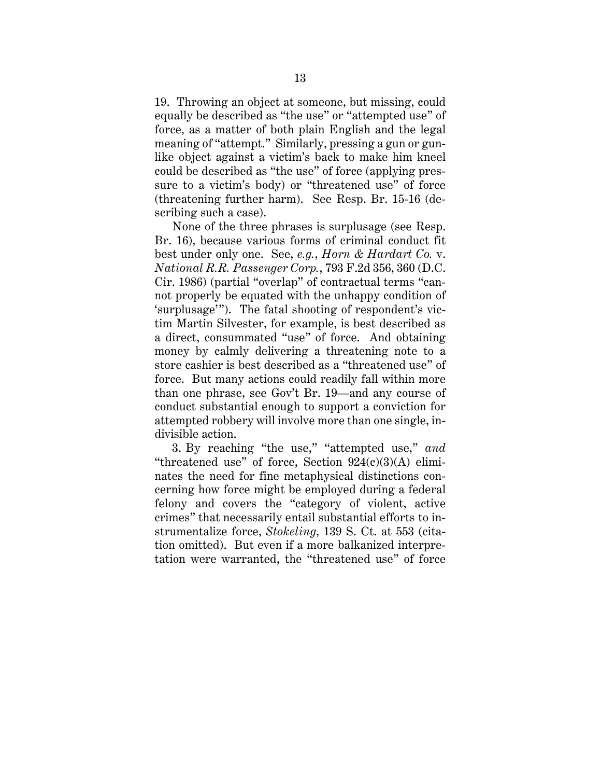19. Throwing an object at someone, but missing, could equally be described as "the use" or "attempted use" of force, as a matter of both plain English and the legal meaning of "attempt." Similarly, pressing a gun or gunlike object against a victim's back to make him kneel could be described as "the use" of force (applying pressure to a victim's body) or "threatened use" of force (threatening further harm). See Resp. Br. 15-16 (describing such a case).

None of the three phrases is surplusage (see Resp. Br. 16), because various forms of criminal conduct fit best under only one. See, *e.g.*, *Horn & Hardart Co.* v. *National R.R. Passenger Corp.*, 793 F.2d 356, 360 (D.C. Cir. 1986) (partial "overlap" of contractual terms "cannot properly be equated with the unhappy condition of 'surplusage'"). The fatal shooting of respondent's victim Martin Silvester, for example, is best described as a direct, consummated "use" of force. And obtaining money by calmly delivering a threatening note to a store cashier is best described as a "threatened use" of force. But many actions could readily fall within more than one phrase, see Gov't Br. 19—and any course of conduct substantial enough to support a conviction for attempted robbery will involve more than one single, indivisible action.

3. By reaching "the use," "attempted use," *and* "threatened use" of force, Section  $924(c)(3)(A)$  eliminates the need for fine metaphysical distinctions concerning how force might be employed during a federal felony and covers the "category of violent, active crimes" that necessarily entail substantial efforts to instrumentalize force, *Stokeling*, 139 S. Ct. at 553 (citation omitted). But even if a more balkanized interpretation were warranted, the "threatened use" of force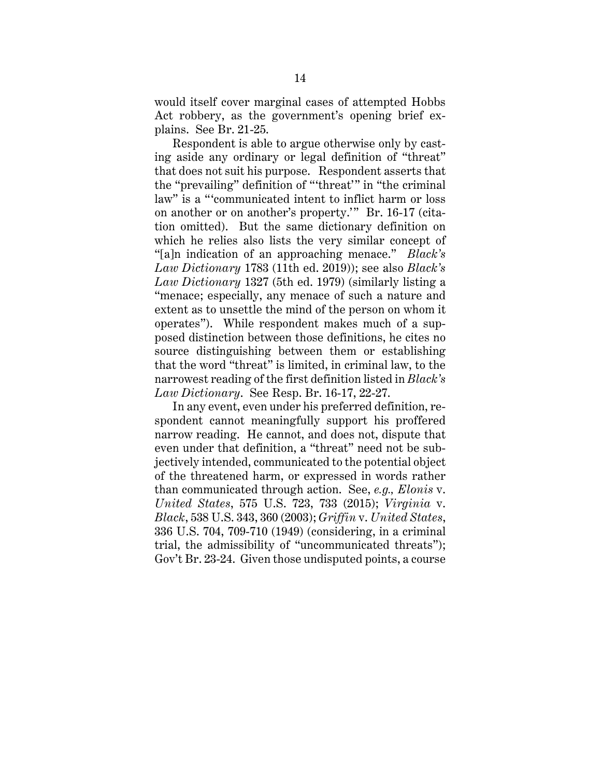would itself cover marginal cases of attempted Hobbs Act robbery, as the government's opening brief explains. See Br. 21-25.

Respondent is able to argue otherwise only by casting aside any ordinary or legal definition of "threat" that does not suit his purpose. Respondent asserts that the "prevailing" definition of "'threat'" in "the criminal law" is a "'communicated intent to inflict harm or loss on another or on another's property.'" Br. 16-17 (citation omitted). But the same dictionary definition on which he relies also lists the very similar concept of "[a]n indication of an approaching menace." *Black's Law Dictionary* 1783 (11th ed. 2019)); see also *Black's Law Dictionary* 1327 (5th ed. 1979) (similarly listing a "menace; especially, any menace of such a nature and extent as to unsettle the mind of the person on whom it operates"). While respondent makes much of a supposed distinction between those definitions, he cites no source distinguishing between them or establishing that the word "threat" is limited, in criminal law, to the narrowest reading of the first definition listed in *Black's Law Dictionary*. See Resp. Br. 16-17, 22-27.

In any event, even under his preferred definition, respondent cannot meaningfully support his proffered narrow reading. He cannot, and does not, dispute that even under that definition, a "threat" need not be subjectively intended, communicated to the potential object of the threatened harm, or expressed in words rather than communicated through action. See, *e.g., Elonis* v. *United States*, 575 U.S. 723, 733 (2015); *Virginia* v. *Black*, 538 U.S. 343, 360 (2003); *Griffin* v. *United States*, 336 U.S. 704, 709-710 (1949) (considering, in a criminal trial, the admissibility of "uncommunicated threats"); Gov't Br. 23-24. Given those undisputed points, a course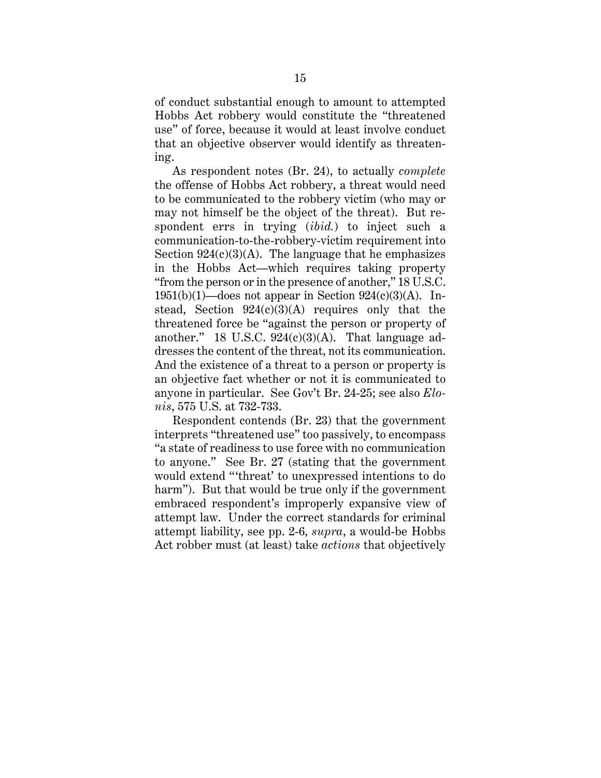of conduct substantial enough to amount to attempted Hobbs Act robbery would constitute the "threatened use" of force, because it would at least involve conduct that an objective observer would identify as threatening.

As respondent notes (Br. 24), to actually *complete*  the offense of Hobbs Act robbery, a threat would need to be communicated to the robbery victim (who may or may not himself be the object of the threat). But respondent errs in trying (*ibid.*) to inject such a communication-to-the-robbery-victim requirement into Section  $924(c)(3)(A)$ . The language that he emphasizes in the Hobbs Act—which requires taking property "from the person or in the presence of another," 18 U.S.C. 1951(b)(1)—does not appear in Section  $924(c)(3)(A)$ . Instead, Section  $924(c)(3)(A)$  requires only that the threatened force be "against the person or property of another." 18 U.S.C.  $924(c)(3)(A)$ . That language addresses the content of the threat, not its communication. And the existence of a threat to a person or property is an objective fact whether or not it is communicated to anyone in particular. See Gov't Br. 24-25; see also *Elonis*, 575 U.S. at 732-733.

Respondent contends (Br. 23) that the government interprets "threatened use" too passively, to encompass "a state of readiness to use force with no communication to anyone." See Br. 27 (stating that the government would extend "'threat' to unexpressed intentions to do harm"). But that would be true only if the government embraced respondent's improperly expansive view of attempt law. Under the correct standards for criminal attempt liability, see pp. 2-6, *supra*, a would-be Hobbs Act robber must (at least) take *actions* that objectively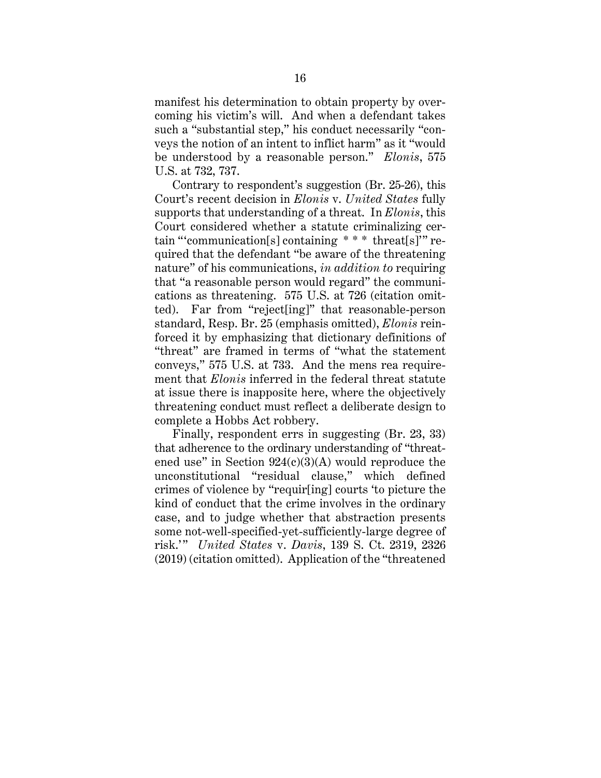manifest his determination to obtain property by overcoming his victim's will. And when a defendant takes such a "substantial step," his conduct necessarily "conveys the notion of an intent to inflict harm" as it "would be understood by a reasonable person." *Elonis*, 575 U.S. at 732, 737.

Contrary to respondent's suggestion (Br. 25-26), this Court's recent decision in *Elonis* v. *United States* fully supports that understanding of a threat. In *Elonis*, this Court considered whether a statute criminalizing certain "'communication[s] containing \* \* \* threat[s]'" required that the defendant "be aware of the threatening nature" of his communications, *in addition to* requiring that "a reasonable person would regard" the communications as threatening. 575 U.S. at 726 (citation omitted). Far from "reject[ing]" that reasonable-person standard, Resp. Br. 25 (emphasis omitted), *Elonis* reinforced it by emphasizing that dictionary definitions of "threat" are framed in terms of "what the statement conveys," 575 U.S. at 733. And the mens rea requirement that *Elonis* inferred in the federal threat statute at issue there is inapposite here, where the objectively threatening conduct must reflect a deliberate design to complete a Hobbs Act robbery.

Finally, respondent errs in suggesting (Br. 23, 33) that adherence to the ordinary understanding of "threatened use" in Section  $924(c)(3)(A)$  would reproduce the unconstitutional "residual clause," which defined crimes of violence by "requir[ing] courts 'to picture the kind of conduct that the crime involves in the ordinary case, and to judge whether that abstraction presents some not-well-specified-yet-sufficiently-large degree of risk.' " *United States* v. *Davis*, 139 S. Ct. 2319, 2326 (2019) (citation omitted). Application of the "threatened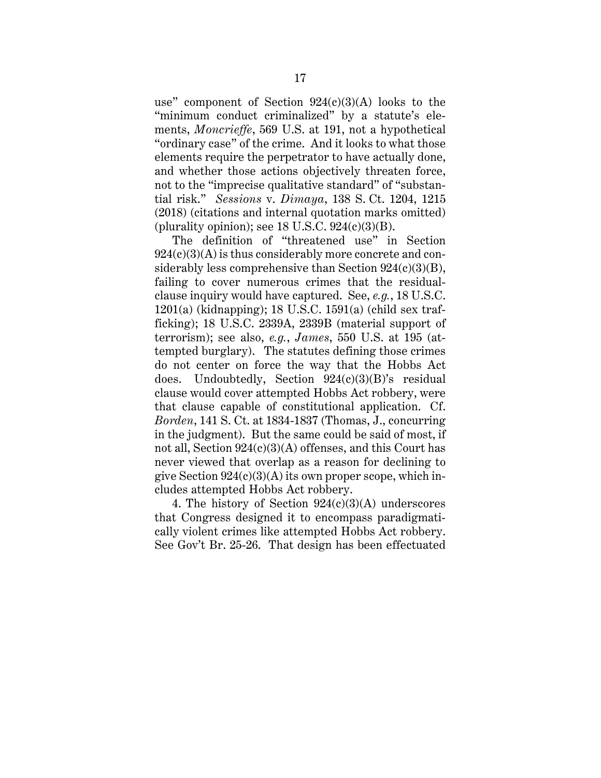use" component of Section  $924(c)(3)(A)$  looks to the "minimum conduct criminalized" by a statute's elements, *Moncrieffe*, 569 U.S. at 191, not a hypothetical "ordinary case" of the crime. And it looks to what those elements require the perpetrator to have actually done, and whether those actions objectively threaten force, not to the "imprecise qualitative standard" of "substantial risk." *Sessions* v. *Dimaya*, 138 S. Ct. 1204, 1215 (2018) (citations and internal quotation marks omitted) (plurality opinion); see  $18 \text{ U.S.C. } 924 \text{(c)} \text{(3)} \text{(B)}$ .

The definition of "threatened use" in Section  $924(c)(3)(A)$  is thus considerably more concrete and considerably less comprehensive than Section  $924(c)(3)(B)$ , failing to cover numerous crimes that the residualclause inquiry would have captured. See, *e.g.*, 18 U.S.C. 1201(a) (kidnapping); 18 U.S.C. 1591(a) (child sex trafficking); 18 U.S.C. 2339A, 2339B (material support of terrorism); see also, *e.g.*, *James*, 550 U.S. at 195 (attempted burglary). The statutes defining those crimes do not center on force the way that the Hobbs Act does. Undoubtedly, Section 924(c)(3)(B)'s residual clause would cover attempted Hobbs Act robbery, were that clause capable of constitutional application. Cf. *Borden*, 141 S. Ct. at 1834-1837 (Thomas, J., concurring in the judgment). But the same could be said of most, if not all, Section 924(c)(3)(A) offenses, and this Court has never viewed that overlap as a reason for declining to give Section  $924(c)(3)(A)$  its own proper scope, which includes attempted Hobbs Act robbery.

4. The history of Section  $924(c)(3)(A)$  underscores that Congress designed it to encompass paradigmatically violent crimes like attempted Hobbs Act robbery. See Gov't Br. 25-26. That design has been effectuated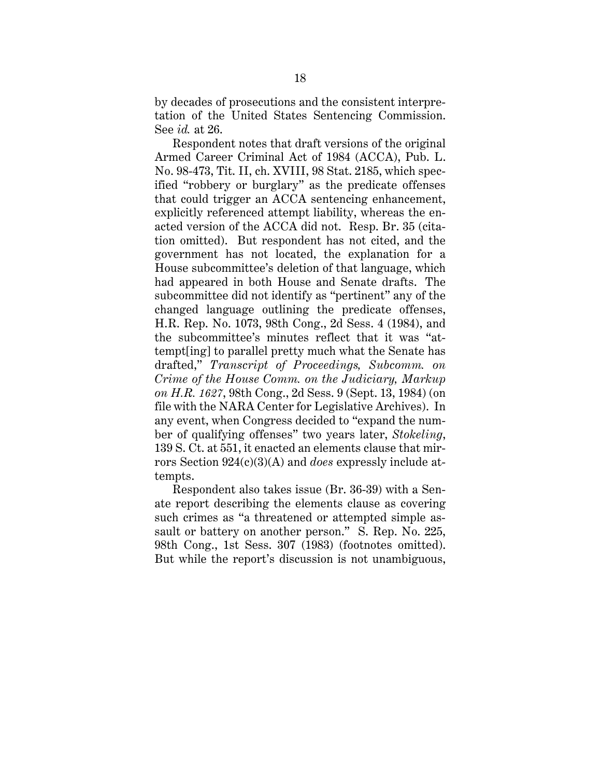by decades of prosecutions and the consistent interpretation of the United States Sentencing Commission. See *id.* at 26.

Respondent notes that draft versions of the original Armed Career Criminal Act of 1984 (ACCA), Pub. L. No. 98-473, Tit. II, ch. XVIII, 98 Stat. 2185, which specified "robbery or burglary" as the predicate offenses that could trigger an ACCA sentencing enhancement, explicitly referenced attempt liability, whereas the enacted version of the ACCA did not. Resp. Br. 35 (citation omitted). But respondent has not cited, and the government has not located, the explanation for a House subcommittee's deletion of that language, which had appeared in both House and Senate drafts. The subcommittee did not identify as "pertinent" any of the changed language outlining the predicate offenses, H.R. Rep. No. 1073, 98th Cong., 2d Sess. 4 (1984), and the subcommittee's minutes reflect that it was "attempt[ing] to parallel pretty much what the Senate has drafted," *Transcript of Proceedings, Subcomm. on Crime of the House Comm. on the Judiciary, Markup on H.R. 1627*, 98th Cong., 2d Sess. 9 (Sept. 13, 1984) (on file with the NARA Center for Legislative Archives). In any event, when Congress decided to "expand the number of qualifying offenses" two years later, *Stokeling*, 139 S. Ct. at 551, it enacted an elements clause that mirrors Section 924(c)(3)(A) and *does* expressly include attempts.

Respondent also takes issue (Br. 36-39) with a Senate report describing the elements clause as covering such crimes as "a threatened or attempted simple assault or battery on another person." S. Rep. No. 225, 98th Cong., 1st Sess. 307 (1983) (footnotes omitted). But while the report's discussion is not unambiguous,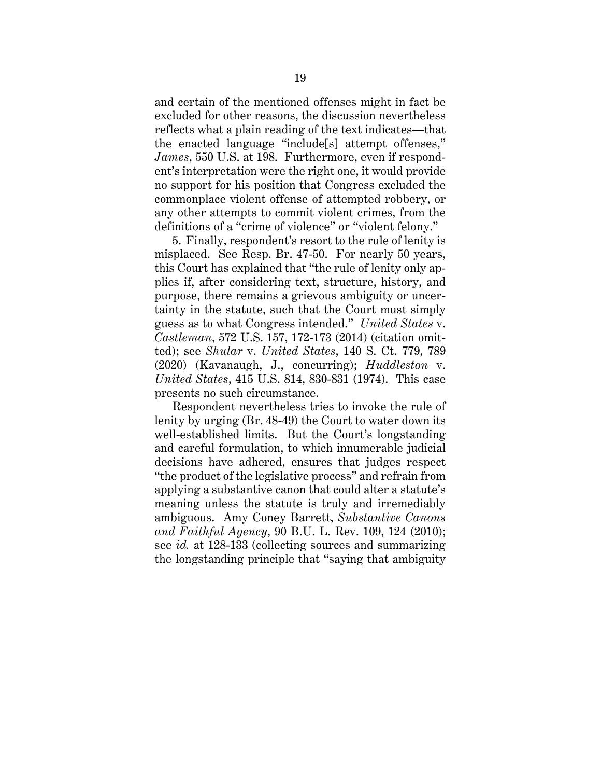and certain of the mentioned offenses might in fact be excluded for other reasons, the discussion nevertheless reflects what a plain reading of the text indicates—that the enacted language "include[s] attempt offenses," *James*, 550 U.S. at 198. Furthermore, even if respondent's interpretation were the right one, it would provide no support for his position that Congress excluded the commonplace violent offense of attempted robbery, or any other attempts to commit violent crimes, from the definitions of a "crime of violence" or "violent felony."

5. Finally, respondent's resort to the rule of lenity is misplaced. See Resp. Br. 47-50. For nearly 50 years, this Court has explained that "the rule of lenity only applies if, after considering text, structure, history, and purpose, there remains a grievous ambiguity or uncertainty in the statute, such that the Court must simply guess as to what Congress intended." *United States* v. *Castleman*, 572 U.S. 157, 172-173 (2014) (citation omitted); see *Shular* v. *United States*, 140 S. Ct. 779, 789 (2020) (Kavanaugh, J., concurring); *Huddleston* v. *United States*, 415 U.S. 814, 830-831 (1974). This case presents no such circumstance.

Respondent nevertheless tries to invoke the rule of lenity by urging (Br. 48-49) the Court to water down its well-established limits. But the Court's longstanding and careful formulation, to which innumerable judicial decisions have adhered, ensures that judges respect "the product of the legislative process" and refrain from applying a substantive canon that could alter a statute's meaning unless the statute is truly and irremediably ambiguous. Amy Coney Barrett, *Substantive Canons and Faithful Agency*, 90 B.U. L. Rev. 109, 124 (2010); see *id.* at 128-133 (collecting sources and summarizing the longstanding principle that "saying that ambiguity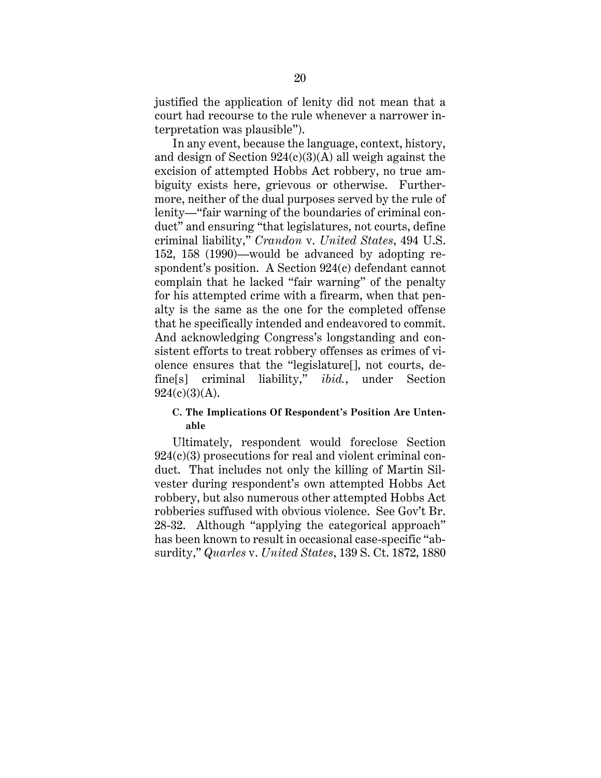justified the application of lenity did not mean that a court had recourse to the rule whenever a narrower interpretation was plausible").

In any event, because the language, context, history, and design of Section  $924(c)(3)(A)$  all weigh against the excision of attempted Hobbs Act robbery, no true ambiguity exists here, grievous or otherwise. Furthermore, neither of the dual purposes served by the rule of lenity—"fair warning of the boundaries of criminal conduct" and ensuring "that legislatures, not courts, define criminal liability," *Crandon* v. *United States*, 494 U.S. 152, 158 (1990)—would be advanced by adopting respondent's position. A Section 924(c) defendant cannot complain that he lacked "fair warning" of the penalty for his attempted crime with a firearm, when that penalty is the same as the one for the completed offense that he specifically intended and endeavored to commit. And acknowledging Congress's longstanding and consistent efforts to treat robbery offenses as crimes of violence ensures that the "legislature[], not courts, define[s] criminal liability," *ibid.*, under Section  $924(c)(3)(A)$ .

#### **C. The Implications Of Respondent's Position Are Untenable**

Ultimately, respondent would foreclose Section 924(c)(3) prosecutions for real and violent criminal conduct. That includes not only the killing of Martin Silvester during respondent's own attempted Hobbs Act robbery, but also numerous other attempted Hobbs Act robberies suffused with obvious violence. See Gov't Br. 28-32. Although "applying the categorical approach" has been known to result in occasional case-specific "absurdity," *Quarles* v. *United States*, 139 S. Ct. 1872, 1880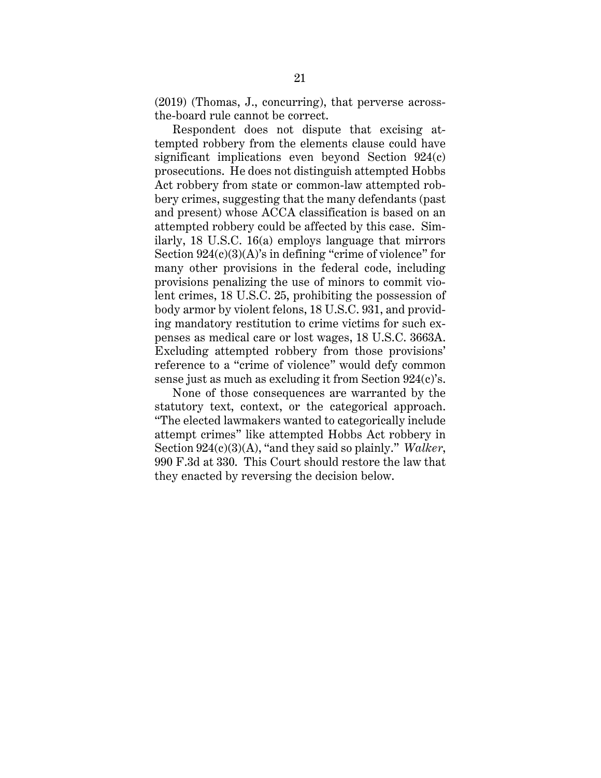(2019) (Thomas, J., concurring), that perverse acrossthe-board rule cannot be correct.

Respondent does not dispute that excising attempted robbery from the elements clause could have significant implications even beyond Section 924(c) prosecutions. He does not distinguish attempted Hobbs Act robbery from state or common-law attempted robbery crimes, suggesting that the many defendants (past and present) whose ACCA classification is based on an attempted robbery could be affected by this case. Similarly, 18 U.S.C. 16(a) employs language that mirrors Section  $924(c)(3)(A)$ 's in defining "crime of violence" for many other provisions in the federal code, including provisions penalizing the use of minors to commit violent crimes, 18 U.S.C. 25, prohibiting the possession of body armor by violent felons, 18 U.S.C. 931, and providing mandatory restitution to crime victims for such expenses as medical care or lost wages, 18 U.S.C. 3663A. Excluding attempted robbery from those provisions' reference to a "crime of violence" would defy common sense just as much as excluding it from Section 924(c)'s.

None of those consequences are warranted by the statutory text, context, or the categorical approach. "The elected lawmakers wanted to categorically include attempt crimes" like attempted Hobbs Act robbery in Section 924(c)(3)(A), "and they said so plainly." *Walker*, 990 F.3d at 330. This Court should restore the law that they enacted by reversing the decision below.